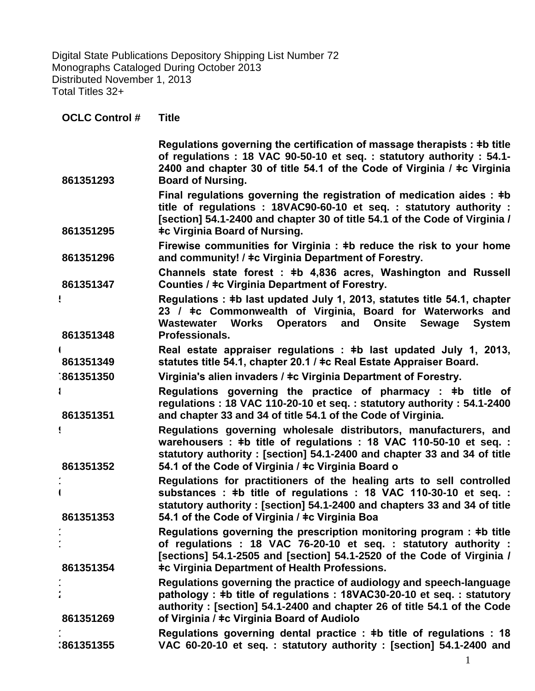Digital State Publications Depository Shipping List Number 72 Monographs Cataloged During October 2013 Distributed November 1, 2013 Total Titles 32+

| <b>OCLC Control #</b> | <b>Title</b>                                                                                                                                                                                                                                                                    |
|-----------------------|---------------------------------------------------------------------------------------------------------------------------------------------------------------------------------------------------------------------------------------------------------------------------------|
| 861351293             | Regulations governing the certification of massage therapists : #b title<br>of regulations : 18 VAC 90-50-10 et seq. : statutory authority : 54.1-<br>2400 and chapter 30 of title 54.1 of the Code of Virginia / ‡c Virginia<br><b>Board of Nursing.</b>                       |
| 861351295             | Final regulations governing the registration of medication aides : $\pm b$<br>title of regulations: 18VAC90-60-10 et seq.: statutory authority:<br>[section] 54.1-2400 and chapter 30 of title 54.1 of the Code of Virginia /<br><b>‡c Virginia Board of Nursing.</b>           |
| 861351296             | Firewise communities for Virginia : #b reduce the risk to your home<br>and community! / ‡c Virginia Department of Forestry.                                                                                                                                                     |
| 861351347             | Channels state forest: #b 4,836 acres, Washington and Russell<br>Counties / ‡c Virginia Department of Forestry.                                                                                                                                                                 |
|                       | Regulations: #b last updated July 1, 2013, statutes title 54.1, chapter<br>23 / ‡c Commonwealth of Virginia, Board for Waterworks and<br>Operators and Onsite Sewage<br>Wastewater Works<br><b>System</b>                                                                       |
| 861351348             | Professionals.                                                                                                                                                                                                                                                                  |
| 861351349             | Real estate appraiser regulations : #b last updated July 1, 2013,<br>statutes title 54.1, chapter 20.1 / ‡c Real Estate Appraiser Board.                                                                                                                                        |
| 1861351350            | Virginia's alien invaders / ‡c Virginia Department of Forestry.                                                                                                                                                                                                                 |
| 861351351             | Regulations governing the practice of pharmacy : $\pm b$ title of<br>regulations: 18 VAC 110-20-10 et seq.: statutory authority: 54.1-2400<br>and chapter 33 and 34 of title 54.1 of the Code of Virginia.                                                                      |
| 861351352             | Regulations governing wholesale distributors, manufacturers, and<br>warehousers: #b title of regulations: 18 VAC 110-50-10 et seq.:<br>statutory authority: [section] 54.1-2400 and chapter 33 and 34 of title<br>54.1 of the Code of Virginia / ‡c Virginia Board o            |
| 861351353             | Regulations for practitioners of the healing arts to sell controlled<br>substances : #b title of regulations : 18 VAC 110-30-10 et seq. :<br>statutory authority: [section] 54.1-2400 and chapters 33 and 34 of title<br>54.1 of the Code of Virginia / ‡c Virginia Boa         |
| 861351354             | Regulations governing the prescription monitoring program : $\pm b$ title<br>of regulations : 18 VAC 76-20-10 et seq. : statutory authority :<br>[sections] 54.1-2505 and [section] 54.1-2520 of the Code of Virginia /<br><b>‡c Virginia Department of Health Professions.</b> |
| 861351269             | Regulations governing the practice of audiology and speech-language<br>pathology: #b title of regulations: 18VAC30-20-10 et seq.: statutory<br>authority: [section] 54.1-2400 and chapter 26 of title 54.1 of the Code<br>of Virginia / ‡c Virginia Board of Audiolo            |
| :861351355            | Regulations governing dental practice : #b title of regulations : 18<br>VAC 60-20-10 et seq.: statutory authority: [section] 54.1-2400 and                                                                                                                                      |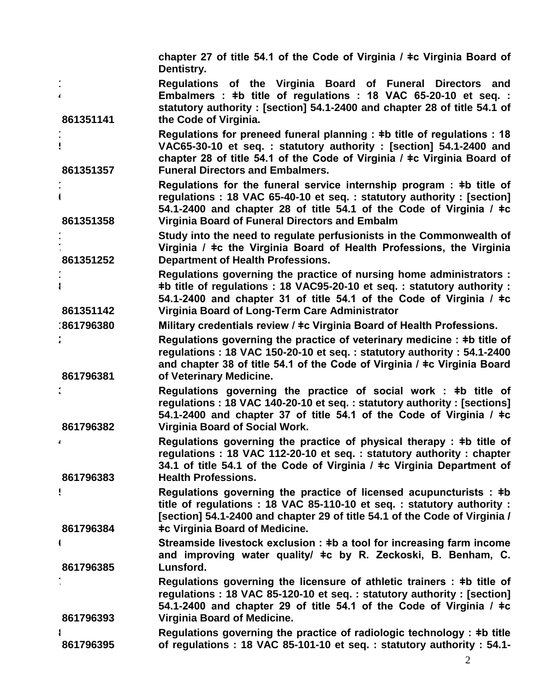**chapter 27 of title 54.1 of the Code of Virginia / ǂc Virginia Board of Dentistry.**

- **1 4 861351141 Regulations of the Virginia Board of Funeral Directors and Embalmers : ǂb title of regulations : 18 VAC 65-20-10 et seq. : statutory authority : [section] 54.1-2400 and chapter 28 of title 54.1 of the Code of Virginia.**
- **1 5 861351357 Regulations for preneed funeral planning : ǂb title of regulations : 18 VAC65-30-10 et seq. : statutory authority : [section] 54.1-2400 and chapter 28 of title 54.1 of the Code of Virginia / ǂc Virginia Board of Funeral Directors and Embalmers.**
- **1 6 861351358 Regulations for the funeral service internship program : ǂb title of regulations : 18 VAC 65-40-10 et seq. : statutory authority : [section] 54.1-2400 and chapter 28 of title 54.1 of the Code of Virginia / ǂc Virginia Board of Funeral Directors and Embalm**
- **1 7 861351252 Study into the need to regulate perfusionists in the Commonwealth of Virginia / ǂc the Virginia Board of Health Professions, the Virginia Department of Health Professions.**
- **861351142 Regulations governing the practice of nursing home administrators : ǂb title of regulations : 18 VAC95-20-10 et seq. : statutory authority : 54.1-2400 and chapter 31 of title 54.1 of the Code of Virginia / ǂc Virginia Board of Long-Term Care Administrator**
- **1861796380 Military credentials review / ǂc Virginia Board of Health Professions.**

**1 8**

**2**

**3**

**4**

- **861796381 Regulations governing the practice of veterinary medicine : ǂb title of regulations : 18 VAC 150-20-10 et seq. : statutory authority : 54.1-2400 and chapter 38 of title 54.1 of the Code of Virginia / ǂc Virginia Board of Veterinary Medicine.**
- **861796382 Regulations governing the practice of social work : ǂb title of regulations : 18 VAC 140-20-10 et seq. : statutory authority : [sections] 54.1-2400 and chapter 37 of title 54.1 of the Code of Virginia / ǂc Virginia Board of Social Work.**
- **861796383 Regulations governing the practice of physical therapy : ǂb title of regulations : 18 VAC 112-20-10 et seq. : statutory authority : chapter 34.1 of title 54.1 of the Code of Virginia / ǂc Virginia Department of Health Professions.**
- **5 861796384 Regulations governing the practice of licensed acupuncturists : ǂb title of regulations : 18 VAC 85-110-10 et seq. : statutory authority : [section] 54.1-2400 and chapter 29 of title 54.1 of the Code of Virginia / ǂc Virginia Board of Medicine.**
- **6 861796385 Streamside livestock exclusion : ǂb a tool for increasing farm income and improving water quality/ ǂc by R. Zeckoski, B. Benham, C. Lunsford.**
- **7 861796393 Regulations governing the licensure of athletic trainers : ǂb title of regulations : 18 VAC 85-120-10 et seq. : statutory authority : [section] 54.1-2400 and chapter 29 of title 54.1 of the Code of Virginia / ǂc Virginia Board of Medicine.**
- **8 861796395 Regulations governing the practice of radiologic technology : ǂb title of regulations : 18 VAC 85-101-10 et seq. : statutory authority : 54.1-**